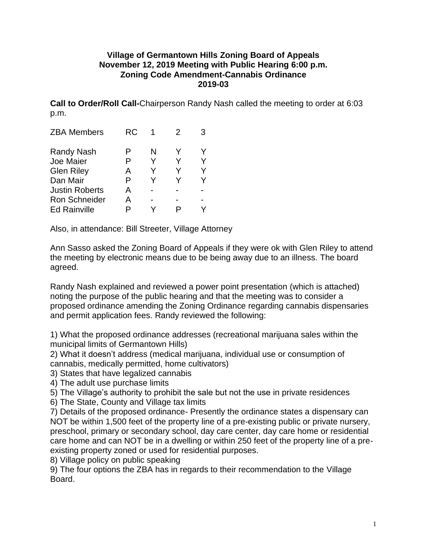## **Village of Germantown Hills Zoning Board of Appeals November 12, 2019 Meeting with Public Hearing 6:00 p.m. Zoning Code Amendment-Cannabis Ordinance 2019-03**

**Call to Order/Roll Call-**Chairperson Randy Nash called the meeting to order at 6:03 p.m.

|   | 2   |  |
|---|-----|--|
| N |     |  |
| Y |     |  |
| Y |     |  |
| Y |     |  |
|   |     |  |
|   |     |  |
|   |     |  |
|   | RC. |  |

Also, in attendance: Bill Streeter, Village Attorney

Ann Sasso asked the Zoning Board of Appeals if they were ok with Glen Riley to attend the meeting by electronic means due to be being away due to an illness. The board agreed.

Randy Nash explained and reviewed a power point presentation (which is attached) noting the purpose of the public hearing and that the meeting was to consider a proposed ordinance amending the Zoning Ordinance regarding cannabis dispensaries and permit application fees. Randy reviewed the following:

1) What the proposed ordinance addresses (recreational marijuana sales within the municipal limits of Germantown Hills)

2) What it doesn't address (medical marijuana, individual use or consumption of cannabis, medically permitted, home cultivators)

3) States that have legalized cannabis

4) The adult use purchase limits

5) The Village's authority to prohibit the sale but not the use in private residences

6) The State, County and Village tax limits

7) Details of the proposed ordinance- Presently the ordinance states a dispensary can NOT be within 1,500 feet of the property line of a pre-existing public or private nursery, preschool, primary or secondary school, day care center, day care home or residential care home and can NOT be in a dwelling or within 250 feet of the property line of a preexisting property zoned or used for residential purposes.

8) Village policy on public speaking

9) The four options the ZBA has in regards to their recommendation to the Village Board.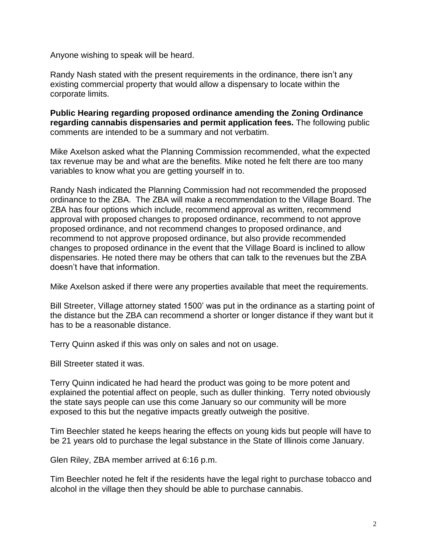Anyone wishing to speak will be heard.

Randy Nash stated with the present requirements in the ordinance, there isn't any existing commercial property that would allow a dispensary to locate within the corporate limits.

**Public Hearing regarding proposed ordinance amending the Zoning Ordinance regarding cannabis dispensaries and permit application fees.** The following public comments are intended to be a summary and not verbatim.

Mike Axelson asked what the Planning Commission recommended, what the expected tax revenue may be and what are the benefits. Mike noted he felt there are too many variables to know what you are getting yourself in to.

Randy Nash indicated the Planning Commission had not recommended the proposed ordinance to the ZBA. The ZBA will make a recommendation to the Village Board. The ZBA has four options which include, recommend approval as written, recommend approval with proposed changes to proposed ordinance, recommend to not approve proposed ordinance, and not recommend changes to proposed ordinance, and recommend to not approve proposed ordinance, but also provide recommended changes to proposed ordinance in the event that the Village Board is inclined to allow dispensaries. He noted there may be others that can talk to the revenues but the ZBA doesn't have that information.

Mike Axelson asked if there were any properties available that meet the requirements.

Bill Streeter, Village attorney stated 1500' was put in the ordinance as a starting point of the distance but the ZBA can recommend a shorter or longer distance if they want but it has to be a reasonable distance.

Terry Quinn asked if this was only on sales and not on usage.

Bill Streeter stated it was.

Terry Quinn indicated he had heard the product was going to be more potent and explained the potential affect on people, such as duller thinking. Terry noted obviously the state says people can use this come January so our community will be more exposed to this but the negative impacts greatly outweigh the positive.

Tim Beechler stated he keeps hearing the effects on young kids but people will have to be 21 years old to purchase the legal substance in the State of Illinois come January.

Glen Riley, ZBA member arrived at 6:16 p.m.

Tim Beechler noted he felt if the residents have the legal right to purchase tobacco and alcohol in the village then they should be able to purchase cannabis.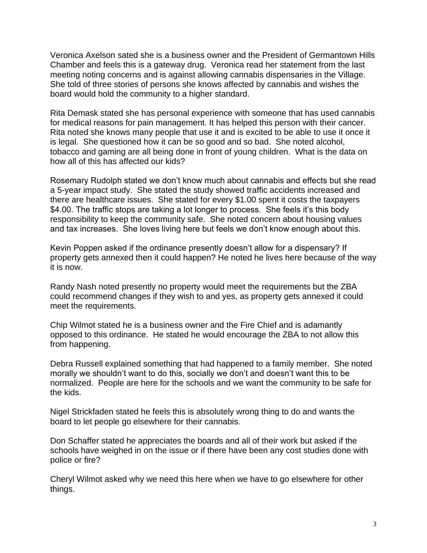Veronica Axelson sated she is a business owner and the President of Germantown Hills Chamber and feels this is a gateway drug. Veronica read her statement from the last meeting noting concerns and is against allowing cannabis dispensaries in the Village. She told of three stories of persons she knows affected by cannabis and wishes the board would hold the community to a higher standard.

Rita Demask stated she has personal experience with someone that has used cannabis for medical reasons for pain management. It has helped this person with their cancer. Rita noted she knows many people that use it and is excited to be able to use it once it is legal. She questioned how it can be so good and so bad. She noted alcohol, tobacco and gaming are all being done in front of young children. What is the data on how all of this has affected our kids?

Rosemary Rudolph stated we don't know much about cannabis and effects but she read a 5-year impact study. She stated the study showed traffic accidents increased and there are healthcare issues. She stated for every \$1.00 spent it costs the taxpayers \$4.00. The traffic stops are taking a lot longer to process. She feels it's this body responsibility to keep the community safe. She noted concern about housing values and tax increases. She loves living here but feels we don't know enough about this.

Kevin Poppen asked if the ordinance presently doesn't allow for a dispensary? If property gets annexed then it could happen? He noted he lives here because of the way it is now.

Randy Nash noted presently no property would meet the requirements but the ZBA could recommend changes if they wish to and yes, as property gets annexed it could meet the requirements.

Chip Wilmot stated he is a business owner and the Fire Chief and is adamantly opposed to this ordinance. He stated he would encourage the ZBA to not allow this from happening.

Debra Russell explained something that had happened to a family member. She noted morally we shouldn't want to do this, socially we don't and doesn't want this to be normalized. People are here for the schools and we want the community to be safe for the kids.

Nigel Strickfaden stated he feels this is absolutely wrong thing to do and wants the board to let people go elsewhere for their cannabis.

Don Schaffer stated he appreciates the boards and all of their work but asked if the schools have weighed in on the issue or if there have been any cost studies done with police or fire?

Cheryl Wilmot asked why we need this here when we have to go elsewhere for other things.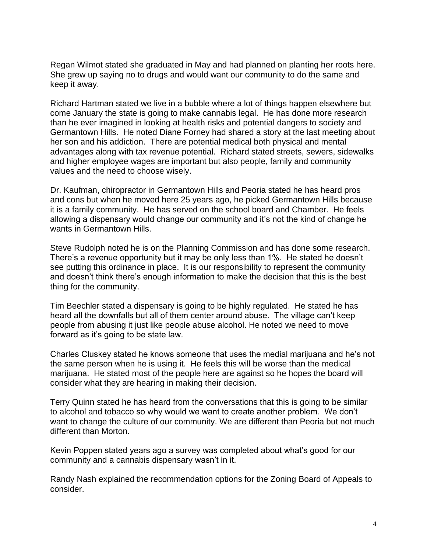Regan Wilmot stated she graduated in May and had planned on planting her roots here. She grew up saying no to drugs and would want our community to do the same and keep it away.

Richard Hartman stated we live in a bubble where a lot of things happen elsewhere but come January the state is going to make cannabis legal. He has done more research than he ever imagined in looking at health risks and potential dangers to society and Germantown Hills. He noted Diane Forney had shared a story at the last meeting about her son and his addiction. There are potential medical both physical and mental advantages along with tax revenue potential. Richard stated streets, sewers, sidewalks and higher employee wages are important but also people, family and community values and the need to choose wisely.

Dr. Kaufman, chiropractor in Germantown Hills and Peoria stated he has heard pros and cons but when he moved here 25 years ago, he picked Germantown Hills because it is a family community. He has served on the school board and Chamber. He feels allowing a dispensary would change our community and it's not the kind of change he wants in Germantown Hills.

Steve Rudolph noted he is on the Planning Commission and has done some research. There's a revenue opportunity but it may be only less than 1%. He stated he doesn't see putting this ordinance in place. It is our responsibility to represent the community and doesn't think there's enough information to make the decision that this is the best thing for the community.

Tim Beechler stated a dispensary is going to be highly regulated. He stated he has heard all the downfalls but all of them center around abuse. The village can't keep people from abusing it just like people abuse alcohol. He noted we need to move forward as it's going to be state law.

Charles Cluskey stated he knows someone that uses the medial marijuana and he's not the same person when he is using it. He feels this will be worse than the medical marijuana. He stated most of the people here are against so he hopes the board will consider what they are hearing in making their decision.

Terry Quinn stated he has heard from the conversations that this is going to be similar to alcohol and tobacco so why would we want to create another problem. We don't want to change the culture of our community. We are different than Peoria but not much different than Morton.

Kevin Poppen stated years ago a survey was completed about what's good for our community and a cannabis dispensary wasn't in it.

Randy Nash explained the recommendation options for the Zoning Board of Appeals to consider.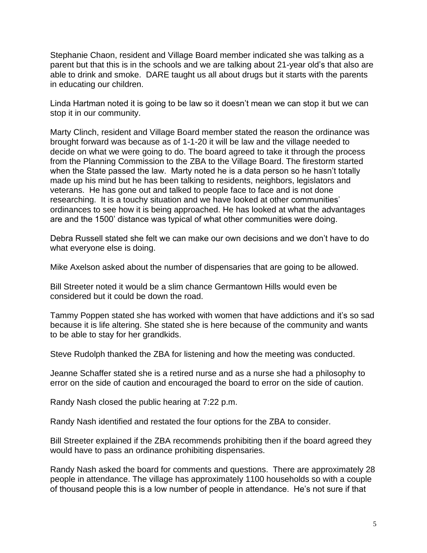Stephanie Chaon, resident and Village Board member indicated she was talking as a parent but that this is in the schools and we are talking about 21-year old's that also are able to drink and smoke. DARE taught us all about drugs but it starts with the parents in educating our children.

Linda Hartman noted it is going to be law so it doesn't mean we can stop it but we can stop it in our community.

Marty Clinch, resident and Village Board member stated the reason the ordinance was brought forward was because as of 1-1-20 it will be law and the village needed to decide on what we were going to do. The board agreed to take it through the process from the Planning Commission to the ZBA to the Village Board. The firestorm started when the State passed the law. Marty noted he is a data person so he hasn't totally made up his mind but he has been talking to residents, neighbors, legislators and veterans. He has gone out and talked to people face to face and is not done researching. It is a touchy situation and we have looked at other communities' ordinances to see how it is being approached. He has looked at what the advantages are and the 1500' distance was typical of what other communities were doing.

Debra Russell stated she felt we can make our own decisions and we don't have to do what everyone else is doing.

Mike Axelson asked about the number of dispensaries that are going to be allowed.

Bill Streeter noted it would be a slim chance Germantown Hills would even be considered but it could be down the road.

Tammy Poppen stated she has worked with women that have addictions and it's so sad because it is life altering. She stated she is here because of the community and wants to be able to stay for her grandkids.

Steve Rudolph thanked the ZBA for listening and how the meeting was conducted.

Jeanne Schaffer stated she is a retired nurse and as a nurse she had a philosophy to error on the side of caution and encouraged the board to error on the side of caution.

Randy Nash closed the public hearing at 7:22 p.m.

Randy Nash identified and restated the four options for the ZBA to consider.

Bill Streeter explained if the ZBA recommends prohibiting then if the board agreed they would have to pass an ordinance prohibiting dispensaries.

Randy Nash asked the board for comments and questions. There are approximately 28 people in attendance. The village has approximately 1100 households so with a couple of thousand people this is a low number of people in attendance. He's not sure if that